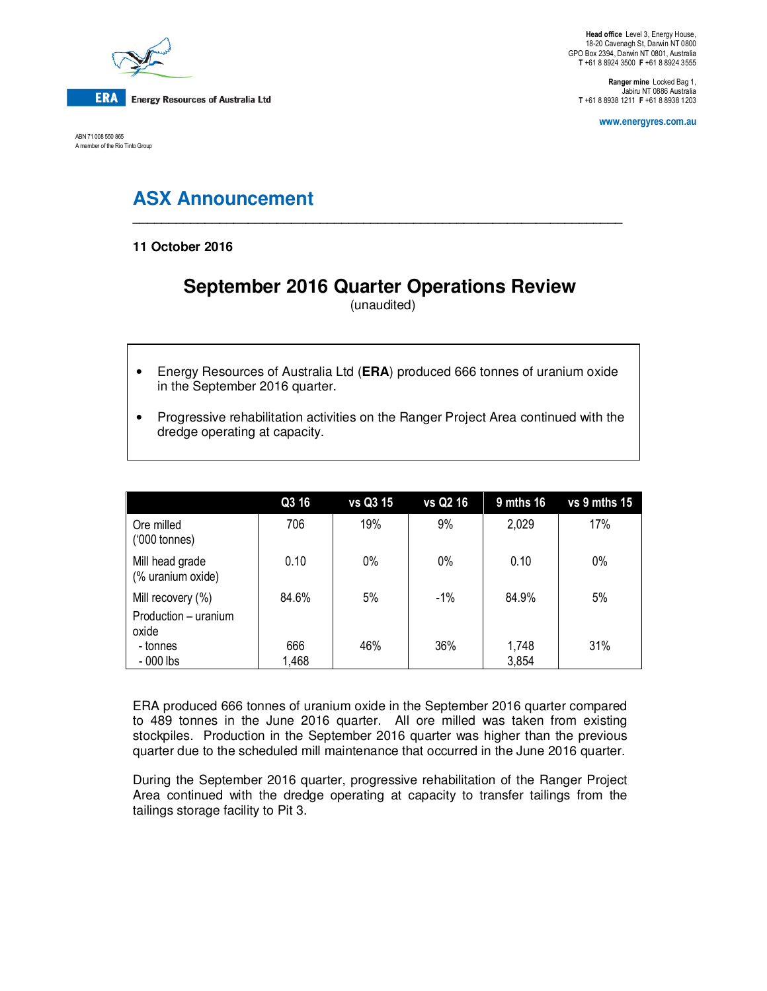

ABN 71 008 550 865 A member of the Rio Tinto Group

**Head office** Level 3, Energy House, 18-20 Cavenagh St, Darwin NT 0800 GPO Box 2394, Darwin NT 0801, Australia **T** +61 8 8924 3500 **F** +61 8 8924 3555

**Ranger mine** Locked Bag 1, Jabiru NT 0886 Australia **T** +61 8 8938 1211 **F** +61 8 8938 1203

**www.energyres.com.au** 

# **ASX Announcement**

**11 October 2016** 

## **September 2016 Quarter Operations Review**

**\_\_\_\_\_\_\_\_\_\_\_\_\_\_\_\_\_\_\_\_\_\_\_\_\_\_\_\_\_\_\_\_\_\_\_\_\_\_\_\_\_\_\_\_\_\_\_\_\_\_\_\_\_\_\_\_\_\_\_\_\_\_\_\_\_\_\_\_** 

(unaudited)

- Energy Resources of Australia Ltd (**ERA**) produced 666 tonnes of uranium oxide in the September 2016 quarter.
- Progressive rehabilitation activities on the Ranger Project Area continued with the dredge operating at capacity.

|                                      | Q3 16 | vs Q3 15 | vs Q2 16 | $9$ mths 16 | $vs$ 9 mths 15 |
|--------------------------------------|-------|----------|----------|-------------|----------------|
| Ore milled<br>$(000 \text{ tonnes})$ | 706   | 19%      | 9%       | 2,029       | 17%            |
| Mill head grade<br>(% uranium oxide) | 0.10  | $0\%$    | $0\%$    | 0.10        | 0%             |
| Mill recovery (%)                    | 84.6% | 5%       | $-1\%$   | 84.9%       | 5%             |
| Production - uranium<br>oxide        |       |          |          |             |                |
| - tonnes                             | 666   | 46%      | 36%      | 1,748       | 31%            |
| $-000$ lbs                           | 1,468 |          |          | 3,854       |                |

ERA produced 666 tonnes of uranium oxide in the September 2016 quarter compared to 489 tonnes in the June 2016 quarter. All ore milled was taken from existing stockpiles. Production in the September 2016 quarter was higher than the previous quarter due to the scheduled mill maintenance that occurred in the June 2016 quarter.

During the September 2016 quarter, progressive rehabilitation of the Ranger Project Area continued with the dredge operating at capacity to transfer tailings from the tailings storage facility to Pit 3.